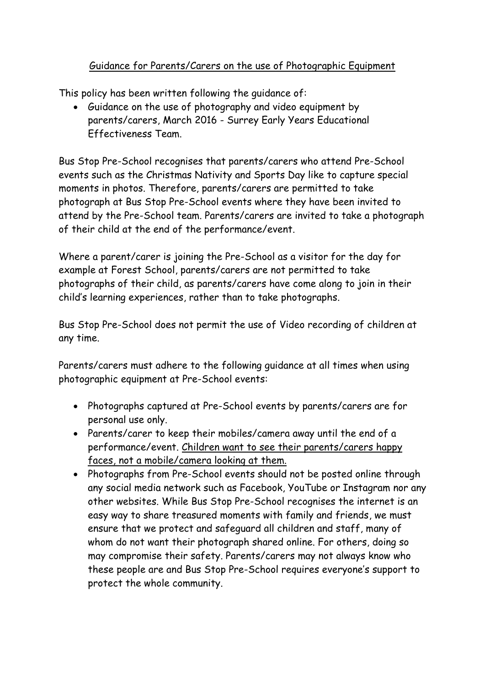## Guidance for Parents/Carers on the use of Photographic Equipment

This policy has been written following the guidance of:

• Guidance on the use of photography and video equipment by parents/carers, March 2016 - Surrey Early Years Educational Effectiveness Team.

Bus Stop Pre-School recognises that parents/carers who attend Pre-School events such as the Christmas Nativity and Sports Day like to capture special moments in photos. Therefore, parents/carers are permitted to take photograph at Bus Stop Pre-School events where they have been invited to attend by the Pre-School team. Parents/carers are invited to take a photograph of their child at the end of the performance/event.

Where a parent/carer is joining the Pre-School as a visitor for the day for example at Forest School, parents/carers are not permitted to take photographs of their child, as parents/carers have come along to join in their child's learning experiences, rather than to take photographs.

Bus Stop Pre-School does not permit the use of Video recording of children at any time.

Parents/carers must adhere to the following guidance at all times when using photographic equipment at Pre-School events:

- Photographs captured at Pre-School events by parents/carers are for personal use only.
- Parents/carer to keep their mobiles/camera away until the end of a performance/event. Children want to see their parents/carers happy faces, not a mobile/camera looking at them.
- Photographs from Pre-School events should not be posted online through any social media network such as Facebook, YouTube or Instagram nor any other websites. While Bus Stop Pre-School recognises the internet is an easy way to share treasured moments with family and friends, we must ensure that we protect and safeguard all children and staff, many of whom do not want their photograph shared online. For others, doing so may compromise their safety. Parents/carers may not always know who these people are and Bus Stop Pre-School requires everyone's support to protect the whole community.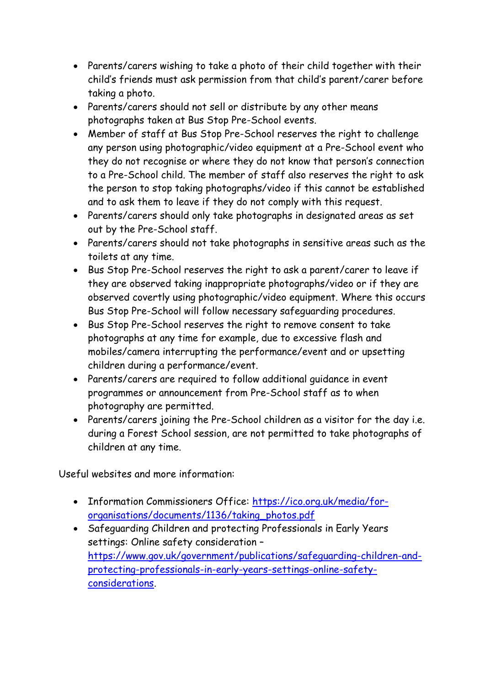- Parents/carers wishing to take a photo of their child together with their child's friends must ask permission from that child's parent/carer before taking a photo.
- Parents/carers should not sell or distribute by any other means photographs taken at Bus Stop Pre-School events.
- Member of staff at Bus Stop Pre-School reserves the right to challenge any person using photographic/video equipment at a Pre-School event who they do not recognise or where they do not know that person's connection to a Pre-School child. The member of staff also reserves the right to ask the person to stop taking photographs/video if this cannot be established and to ask them to leave if they do not comply with this request.
- Parents/carers should only take photographs in designated areas as set out by the Pre-School staff.
- Parents/carers should not take photographs in sensitive areas such as the toilets at any time.
- Bus Stop Pre-School reserves the right to ask a parent/carer to leave if they are observed taking inappropriate photographs/video or if they are observed covertly using photographic/video equipment. Where this occurs Bus Stop Pre-School will follow necessary safeguarding procedures.
- Bus Stop Pre-School reserves the right to remove consent to take photographs at any time for example, due to excessive flash and mobiles/camera interrupting the performance/event and or upsetting children during a performance/event.
- Parents/carers are required to follow additional guidance in event programmes or announcement from Pre-School staff as to when photography are permitted.
- Parents/carers joining the Pre-School children as a visitor for the day i.e. during a Forest School session, are not permitted to take photographs of children at any time.

Useful websites and more information:

- Information Commissioners Office: [https://ico.org.uk/media/for](https://ico.org.uk/media/for-organisations/documents/1136/taking_photos.pdf)[organisations/documents/1136/taking\\_photos.pdf](https://ico.org.uk/media/for-organisations/documents/1136/taking_photos.pdf)
- Safeguarding Children and protecting Professionals in Early Years settings: Online safety consideration – [https://www.gov.uk/government/publications/safeguarding-children-and](https://www.gov.uk/government/publications/safeguarding-children-and-protecting-professionals-in-early-years-settings-online-safety-considerations)[protecting-professionals-in-early-years-settings-online-safety](https://www.gov.uk/government/publications/safeguarding-children-and-protecting-professionals-in-early-years-settings-online-safety-considerations)[considerations.](https://www.gov.uk/government/publications/safeguarding-children-and-protecting-professionals-in-early-years-settings-online-safety-considerations)